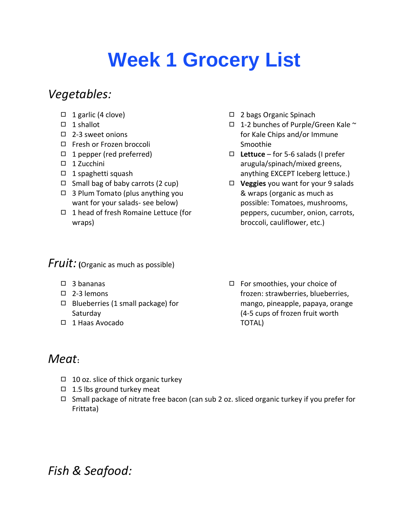# **Week 1 Grocery List**

## *Vegetables:*

- ◻ 1 garlic (4 clove)
- ◻ 1 shallot
- ◻ 2-3 sweet onions
- ◻ Fresh or Frozen broccoli
- ◻ 1 pepper (red preferred)
- ◻ 1 Zucchini
- ◻ 1 spaghetti squash
- $\Box$  Small bag of baby carrots (2 cup)
- ◻ 3 Plum Tomato (plus anything you want for your salads- see below)
- ◻ 1 head of fresh Romaine Lettuce (for wraps)

#### *Fruit:* **(**Organic as much as possible)

- ◻ 3 bananas
- ◻ 2-3 lemons
- ◻ Blueberries (1 small package) for Saturday
- ◻ 1 Haas Avocado
- *Meat***:**
	- ◻ 10 oz. slice of thick organic turkey
	- ◻ 1.5 lbs ground turkey meat
	- ◻ Small package of nitrate free bacon (can sub 2 oz. sliced organic turkey if you prefer for Frittata)

#### ◻ 2 bags Organic Spinach

- ◻ 1-2 bunches of Purple/Green Kale ~ for Kale Chips and/or Immune Smoothie
- ◻ **Lettuce** for 5-6 salads (I prefer arugula/spinach/mixed greens, anything EXCEPT Iceberg lettuce.)
- ◻ **Veggies** you want for your 9 salads & wraps (organic as much as possible: Tomatoes, mushrooms, peppers, cucumber, onion, carrots, broccoli, cauliflower, etc.)
- ◻ For smoothies, your choice of frozen: strawberries, blueberries, mango, pineapple, papaya, orange (4-5 cups of frozen fruit worth TOTAL)

*Fish & Seafood:*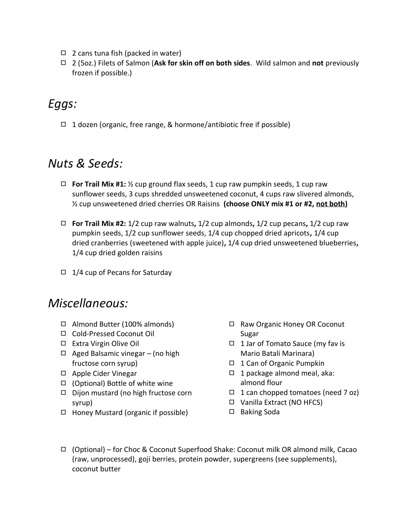- $\Box$  2 cans tuna fish (packed in water)
- ◻ 2 (5oz.) Filets of Salmon (**Ask for skin off on both sides**. Wild salmon and **not** previously frozen if possible.)

## *Eggs:*

◻ 1 dozen (organic, free range, & hormone/antibiotic free if possible)

#### *Nuts & Seeds:*

- ◻ **For Trail Mix #1:** ½ cup ground flax seeds, 1 cup raw pumpkin seeds, 1 cup raw sunflower seeds, 3 cups shredded unsweetened coconut, 4 cups raw slivered almonds, ½ cup unsweetened dried cherries OR Raisins **(choose ONLY mix #1 or #2, not both)**
- ◻ **For Trail Mix #2:** 1/2 cup raw walnuts**,** 1/2 cup almonds**,** 1/2 cup pecans**,** 1/2 cup raw pumpkin seeds, 1/2 cup sunflower seeds, 1/4 cup chopped dried apricots**,** 1/4 cup dried cranberries (sweetened with apple juice)**,** 1/4 cup dried unsweetened blueberries**,**  1/4 cup dried golden raisins
- $\Box$  1/4 cup of Pecans for Saturday

#### *Miscellaneous:*

- ◻ Almond Butter (100% almonds)
- ◻ Cold-Pressed Coconut Oil
- ◻ Extra Virgin Olive Oil
- ◻ Aged Balsamic vinegar (no high fructose corn syrup)
- ◻ Apple Cider Vinegar
- ◻ (Optional) Bottle of white wine
- ◻ Dijon mustard (no high fructose corn syrup)
- ◻ Honey Mustard (organic if possible)
- ◻ Raw Organic Honey OR Coconut Sugar
- ◻ 1 Jar of Tomato Sauce (my fav is Mario Batali Marinara)
- ◻ 1 Can of Organic Pumpkin
- ◻ 1 package almond meal, aka: almond flour
- $\Box$  1 can chopped tomatoes (need 7 oz)
- ◻ Vanilla Extract (NO HFCS)
- ◻ Baking Soda
- ◻ (Optional) for Choc & Coconut Superfood Shake: Coconut milk OR almond milk, Cacao (raw, unprocessed), goji berries, protein powder, supergreens (see supplements), coconut butter